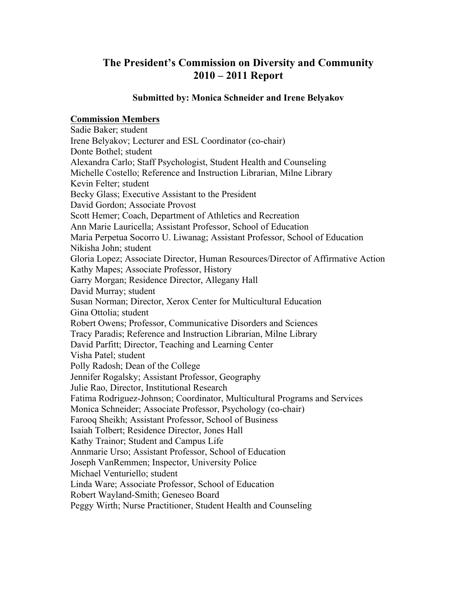# **The President's Commission on Diversity and Community 2010 – 2011 Report**

#### **Submitted by: Monica Schneider and Irene Belyakov**

## **Commission Members**

Sadie Baker; student Irene Belyakov; Lecturer and ESL Coordinator (co-chair) Donte Bothel; student Alexandra Carlo; Staff Psychologist, Student Health and Counseling Michelle Costello; Reference and Instruction Librarian, Milne Library Kevin Felter; student Becky Glass; Executive Assistant to the President David Gordon; Associate Provost Scott Hemer; Coach, Department of Athletics and Recreation Ann Marie Lauricella; Assistant Professor, School of Education Maria Perpetua Socorro U. Liwanag; Assistant Professor, School of Education Nikisha John; student Gloria Lopez; Associate Director, Human Resources/Director of Affirmative Action Kathy Mapes; Associate Professor, History Garry Morgan; Residence Director, Allegany Hall David Murray; student Susan Norman; Director, Xerox Center for Multicultural Education Gina Ottolia; student Robert Owens; Professor, Communicative Disorders and Sciences Tracy Paradis; Reference and Instruction Librarian, Milne Library David Parfitt; Director, Teaching and Learning Center Visha Patel; student Polly Radosh; Dean of the College Jennifer Rogalsky; Assistant Professor, Geography Julie Rao, Director, Institutional Research Fatima Rodriguez-Johnson; Coordinator, Multicultural Programs and Services Monica Schneider; Associate Professor, Psychology (co-chair) Farooq Sheikh; Assistant Professor, School of Business Isaiah Tolbert; Residence Director, Jones Hall Kathy Trainor; Student and Campus Life Annmarie Urso; Assistant Professor, School of Education Joseph VanRemmen; Inspector, University Police Michael Venturiello; student Linda Ware; Associate Professor, School of Education Robert Wayland-Smith; Geneseo Board Peggy Wirth; Nurse Practitioner, Student Health and Counseling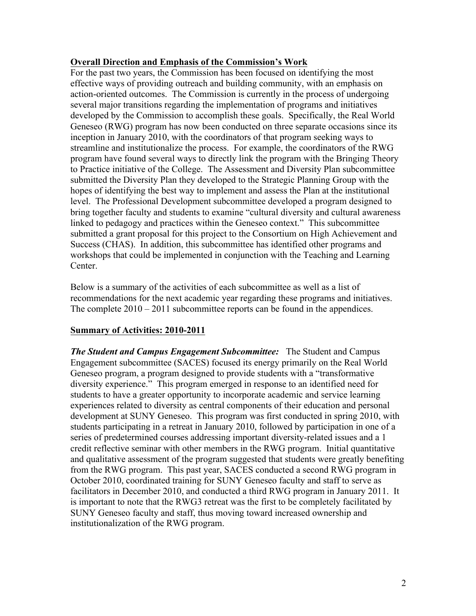## **Overall Direction and Emphasis of the Commission's Work**

For the past two years, the Commission has been focused on identifying the most effective ways of providing outreach and building community, with an emphasis on action-oriented outcomes. The Commission is currently in the process of undergoing several major transitions regarding the implementation of programs and initiatives developed by the Commission to accomplish these goals. Specifically, the Real World Geneseo (RWG) program has now been conducted on three separate occasions since its inception in January 2010, with the coordinators of that program seeking ways to streamline and institutionalize the process. For example, the coordinators of the RWG program have found several ways to directly link the program with the Bringing Theory to Practice initiative of the College. The Assessment and Diversity Plan subcommittee submitted the Diversity Plan they developed to the Strategic Planning Group with the hopes of identifying the best way to implement and assess the Plan at the institutional level. The Professional Development subcommittee developed a program designed to bring together faculty and students to examine "cultural diversity and cultural awareness linked to pedagogy and practices within the Geneseo context." This subcommittee submitted a grant proposal for this project to the Consortium on High Achievement and Success (CHAS). In addition, this subcommittee has identified other programs and workshops that could be implemented in conjunction with the Teaching and Learning Center.

Below is a summary of the activities of each subcommittee as well as a list of recommendations for the next academic year regarding these programs and initiatives. The complete 2010 – 2011 subcommittee reports can be found in the appendices.

# **Summary of Activities: 2010-2011**

*The Student and Campus Engagement Subcommittee:* The Student and Campus Engagement subcommittee (SACES) focused its energy primarily on the Real World Geneseo program, a program designed to provide students with a "transformative diversity experience." This program emerged in response to an identified need for students to have a greater opportunity to incorporate academic and service learning experiences related to diversity as central components of their education and personal development at SUNY Geneseo. This program was first conducted in spring 2010, with students participating in a retreat in January 2010, followed by participation in one of a series of predetermined courses addressing important diversity-related issues and a 1 credit reflective seminar with other members in the RWG program. Initial quantitative and qualitative assessment of the program suggested that students were greatly benefiting from the RWG program. This past year, SACES conducted a second RWG program in October 2010, coordinated training for SUNY Geneseo faculty and staff to serve as facilitators in December 2010, and conducted a third RWG program in January 2011. It is important to note that the RWG3 retreat was the first to be completely facilitated by SUNY Geneseo faculty and staff, thus moving toward increased ownership and institutionalization of the RWG program.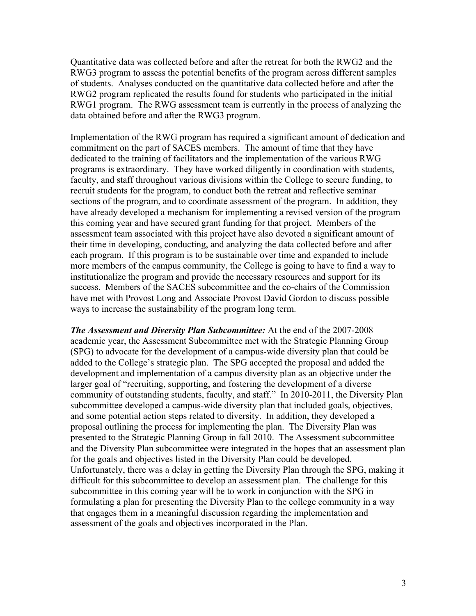Quantitative data was collected before and after the retreat for both the RWG2 and the RWG3 program to assess the potential benefits of the program across different samples of students. Analyses conducted on the quantitative data collected before and after the RWG2 program replicated the results found for students who participated in the initial RWG1 program. The RWG assessment team is currently in the process of analyzing the data obtained before and after the RWG3 program.

Implementation of the RWG program has required a significant amount of dedication and commitment on the part of SACES members. The amount of time that they have dedicated to the training of facilitators and the implementation of the various RWG programs is extraordinary. They have worked diligently in coordination with students, faculty, and staff throughout various divisions within the College to secure funding, to recruit students for the program, to conduct both the retreat and reflective seminar sections of the program, and to coordinate assessment of the program. In addition, they have already developed a mechanism for implementing a revised version of the program this coming year and have secured grant funding for that project. Members of the assessment team associated with this project have also devoted a significant amount of their time in developing, conducting, and analyzing the data collected before and after each program. If this program is to be sustainable over time and expanded to include more members of the campus community, the College is going to have to find a way to institutionalize the program and provide the necessary resources and support for its success. Members of the SACES subcommittee and the co-chairs of the Commission have met with Provost Long and Associate Provost David Gordon to discuss possible ways to increase the sustainability of the program long term.

*The Assessment and Diversity Plan Subcommittee:* At the end of the 2007-2008 academic year, the Assessment Subcommittee met with the Strategic Planning Group (SPG) to advocate for the development of a campus-wide diversity plan that could be added to the College's strategic plan. The SPG accepted the proposal and added the development and implementation of a campus diversity plan as an objective under the larger goal of "recruiting, supporting, and fostering the development of a diverse community of outstanding students, faculty, and staff." In 2010-2011, the Diversity Plan subcommittee developed a campus-wide diversity plan that included goals, objectives, and some potential action steps related to diversity. In addition, they developed a proposal outlining the process for implementing the plan. The Diversity Plan was presented to the Strategic Planning Group in fall 2010. The Assessment subcommittee and the Diversity Plan subcommittee were integrated in the hopes that an assessment plan for the goals and objectives listed in the Diversity Plan could be developed. Unfortunately, there was a delay in getting the Diversity Plan through the SPG, making it difficult for this subcommittee to develop an assessment plan. The challenge for this subcommittee in this coming year will be to work in conjunction with the SPG in formulating a plan for presenting the Diversity Plan to the college community in a way that engages them in a meaningful discussion regarding the implementation and assessment of the goals and objectives incorporated in the Plan.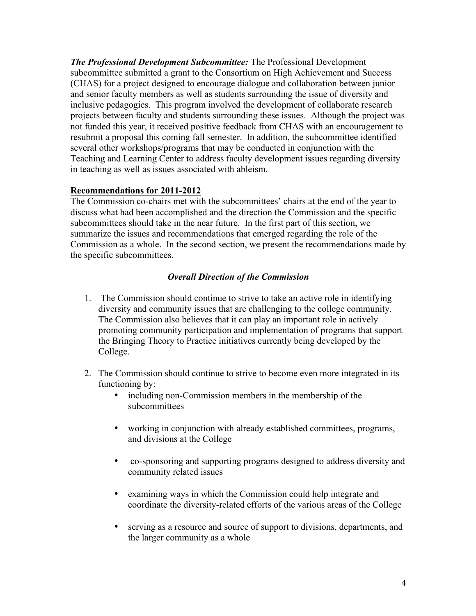*The Professional Development Subcommittee:* The Professional Development subcommittee submitted a grant to the Consortium on High Achievement and Success (CHAS) for a project designed to encourage dialogue and collaboration between junior and senior faculty members as well as students surrounding the issue of diversity and inclusive pedagogies. This program involved the development of collaborate research projects between faculty and students surrounding these issues. Although the project was not funded this year, it received positive feedback from CHAS with an encouragement to resubmit a proposal this coming fall semester. In addition, the subcommittee identified several other workshops/programs that may be conducted in conjunction with the Teaching and Learning Center to address faculty development issues regarding diversity in teaching as well as issues associated with ableism.

# **Recommendations for 2011-2012**

The Commission co-chairs met with the subcommittees' chairs at the end of the year to discuss what had been accomplished and the direction the Commission and the specific subcommittees should take in the near future. In the first part of this section, we summarize the issues and recommendations that emerged regarding the role of the Commission as a whole. In the second section, we present the recommendations made by the specific subcommittees.

# *Overall Direction of the Commission*

- 1. The Commission should continue to strive to take an active role in identifying diversity and community issues that are challenging to the college community. The Commission also believes that it can play an important role in actively promoting community participation and implementation of programs that support the Bringing Theory to Practice initiatives currently being developed by the College.
- 2. The Commission should continue to strive to become even more integrated in its functioning by:
	- including non-Commission members in the membership of the subcommittees
	- working in conjunction with already established committees, programs, and divisions at the College
	- co-sponsoring and supporting programs designed to address diversity and community related issues
	- examining ways in which the Commission could help integrate and coordinate the diversity-related efforts of the various areas of the College
	- serving as a resource and source of support to divisions, departments, and the larger community as a whole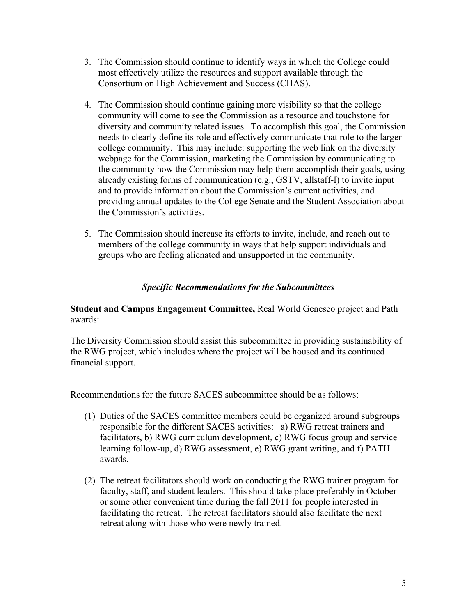- 3. The Commission should continue to identify ways in which the College could most effectively utilize the resources and support available through the Consortium on High Achievement and Success (CHAS).
- 4. The Commission should continue gaining more visibility so that the college community will come to see the Commission as a resource and touchstone for diversity and community related issues. To accomplish this goal, the Commission needs to clearly define its role and effectively communicate that role to the larger college community. This may include: supporting the web link on the diversity webpage for the Commission, marketing the Commission by communicating to the community how the Commission may help them accomplish their goals, using already existing forms of communication (e.g., GSTV, allstaff-l) to invite input and to provide information about the Commission's current activities, and providing annual updates to the College Senate and the Student Association about the Commission's activities.
- 5. The Commission should increase its efforts to invite, include, and reach out to members of the college community in ways that help support individuals and groups who are feeling alienated and unsupported in the community.

### *Specific Recommendations for the Subcommittees*

**Student and Campus Engagement Committee,** Real World Geneseo project and Path awards:

The Diversity Commission should assist this subcommittee in providing sustainability of the RWG project, which includes where the project will be housed and its continued financial support.

Recommendations for the future SACES subcommittee should be as follows:

- (1) Duties of the SACES committee members could be organized around subgroups responsible for the different SACES activities: a) RWG retreat trainers and facilitators, b) RWG curriculum development, c) RWG focus group and service learning follow-up, d) RWG assessment, e) RWG grant writing, and f) PATH awards.
- (2) The retreat facilitators should work on conducting the RWG trainer program for faculty, staff, and student leaders. This should take place preferably in October or some other convenient time during the fall 2011 for people interested in facilitating the retreat. The retreat facilitators should also facilitate the next retreat along with those who were newly trained.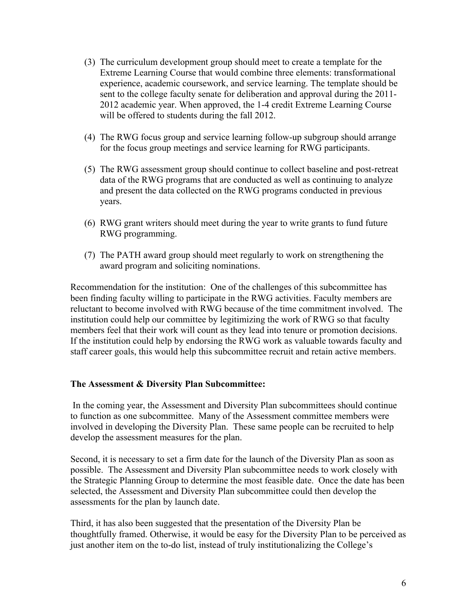- (3) The curriculum development group should meet to create a template for the Extreme Learning Course that would combine three elements: transformational experience, academic coursework, and service learning. The template should be sent to the college faculty senate for deliberation and approval during the 2011- 2012 academic year. When approved, the 1-4 credit Extreme Learning Course will be offered to students during the fall 2012.
- (4) The RWG focus group and service learning follow-up subgroup should arrange for the focus group meetings and service learning for RWG participants.
- (5) The RWG assessment group should continue to collect baseline and post-retreat data of the RWG programs that are conducted as well as continuing to analyze and present the data collected on the RWG programs conducted in previous years.
- (6) RWG grant writers should meet during the year to write grants to fund future RWG programming.
- (7) The PATH award group should meet regularly to work on strengthening the award program and soliciting nominations.

Recommendation for the institution: One of the challenges of this subcommittee has been finding faculty willing to participate in the RWG activities. Faculty members are reluctant to become involved with RWG because of the time commitment involved. The institution could help our committee by legitimizing the work of RWG so that faculty members feel that their work will count as they lead into tenure or promotion decisions. If the institution could help by endorsing the RWG work as valuable towards faculty and staff career goals, this would help this subcommittee recruit and retain active members.

#### **The Assessment & Diversity Plan Subcommittee:**

In the coming year, the Assessment and Diversity Plan subcommittees should continue to function as one subcommittee. Many of the Assessment committee members were involved in developing the Diversity Plan. These same people can be recruited to help develop the assessment measures for the plan.

Second, it is necessary to set a firm date for the launch of the Diversity Plan as soon as possible. The Assessment and Diversity Plan subcommittee needs to work closely with the Strategic Planning Group to determine the most feasible date. Once the date has been selected, the Assessment and Diversity Plan subcommittee could then develop the assessments for the plan by launch date.

Third, it has also been suggested that the presentation of the Diversity Plan be thoughtfully framed. Otherwise, it would be easy for the Diversity Plan to be perceived as just another item on the to-do list, instead of truly institutionalizing the College's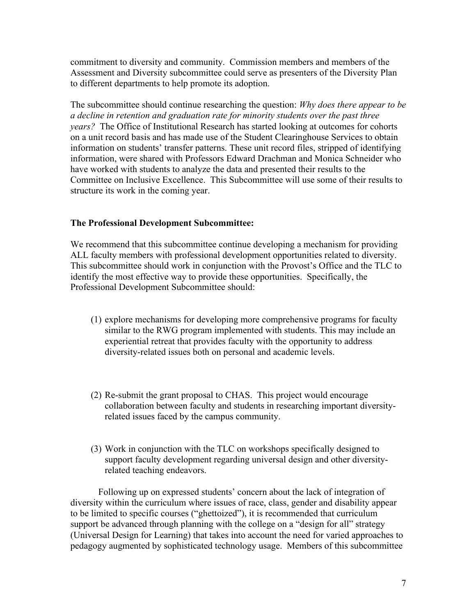commitment to diversity and community. Commission members and members of the Assessment and Diversity subcommittee could serve as presenters of the Diversity Plan to different departments to help promote its adoption.

The subcommittee should continue researching the question: *Why does there appear to be a decline in retention and graduation rate for minority students over the past three years?* The Office of Institutional Research has started looking at outcomes for cohorts on a unit record basis and has made use of the Student Clearinghouse Services to obtain information on students' transfer patterns. These unit record files, stripped of identifying information, were shared with Professors Edward Drachman and Monica Schneider who have worked with students to analyze the data and presented their results to the Committee on Inclusive Excellence. This Subcommittee will use some of their results to structure its work in the coming year.

### **The Professional Development Subcommittee:**

We recommend that this subcommittee continue developing a mechanism for providing ALL faculty members with professional development opportunities related to diversity. This subcommittee should work in conjunction with the Provost's Office and the TLC to identify the most effective way to provide these opportunities. Specifically, the Professional Development Subcommittee should:

- (1) explore mechanisms for developing more comprehensive programs for faculty similar to the RWG program implemented with students. This may include an experiential retreat that provides faculty with the opportunity to address diversity-related issues both on personal and academic levels.
- (2) Re-submit the grant proposal to CHAS. This project would encourage collaboration between faculty and students in researching important diversityrelated issues faced by the campus community.
- (3) Work in conjunction with the TLC on workshops specifically designed to support faculty development regarding universal design and other diversityrelated teaching endeavors.

Following up on expressed students' concern about the lack of integration of diversity within the curriculum where issues of race, class, gender and disability appear to be limited to specific courses ("ghettoized"), it is recommended that curriculum support be advanced through planning with the college on a "design for all" strategy (Universal Design for Learning) that takes into account the need for varied approaches to pedagogy augmented by sophisticated technology usage. Members of this subcommittee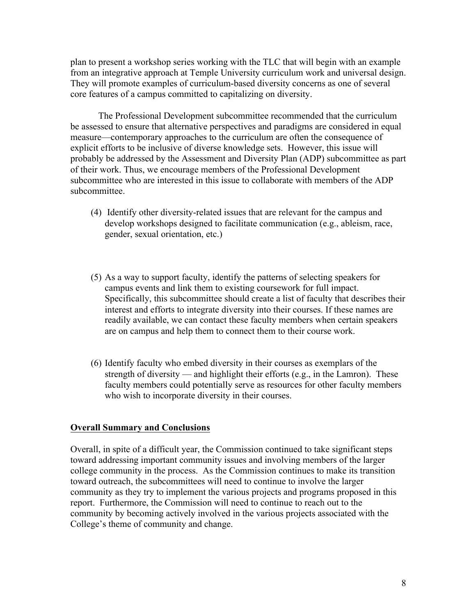plan to present a workshop series working with the TLC that will begin with an example from an integrative approach at Temple University curriculum work and universal design. They will promote examples of curriculum-based diversity concerns as one of several core features of a campus committed to capitalizing on diversity.

The Professional Development subcommittee recommended that the curriculum be assessed to ensure that alternative perspectives and paradigms are considered in equal measure—contemporary approaches to the curriculum are often the consequence of explicit efforts to be inclusive of diverse knowledge sets. However, this issue will probably be addressed by the Assessment and Diversity Plan (ADP) subcommittee as part of their work. Thus, we encourage members of the Professional Development subcommittee who are interested in this issue to collaborate with members of the ADP subcommittee.

- (4) Identify other diversity-related issues that are relevant for the campus and develop workshops designed to facilitate communication (e.g., ableism, race, gender, sexual orientation, etc.)
- (5) As a way to support faculty, identify the patterns of selecting speakers for campus events and link them to existing coursework for full impact. Specifically, this subcommittee should create a list of faculty that describes their interest and efforts to integrate diversity into their courses. If these names are readily available, we can contact these faculty members when certain speakers are on campus and help them to connect them to their course work.
- (6) Identify faculty who embed diversity in their courses as exemplars of the strength of diversity — and highlight their efforts (e.g., in the Lamron). These faculty members could potentially serve as resources for other faculty members who wish to incorporate diversity in their courses.

# **Overall Summary and Conclusions**

Overall, in spite of a difficult year, the Commission continued to take significant steps toward addressing important community issues and involving members of the larger college community in the process. As the Commission continues to make its transition toward outreach, the subcommittees will need to continue to involve the larger community as they try to implement the various projects and programs proposed in this report. Furthermore, the Commission will need to continue to reach out to the community by becoming actively involved in the various projects associated with the College's theme of community and change.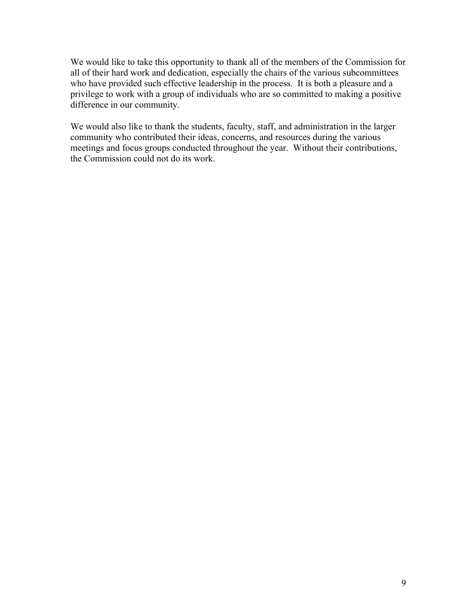We would like to take this opportunity to thank all of the members of the Commission for all of their hard work and dedication, especially the chairs of the various subcommittees who have provided such effective leadership in the process. It is both a pleasure and a privilege to work with a group of individuals who are so committed to making a positive difference in our community.

We would also like to thank the students, faculty, staff, and administration in the larger community who contributed their ideas, concerns, and resources during the various meetings and focus groups conducted throughout the year. Without their contributions, the Commission could not do its work.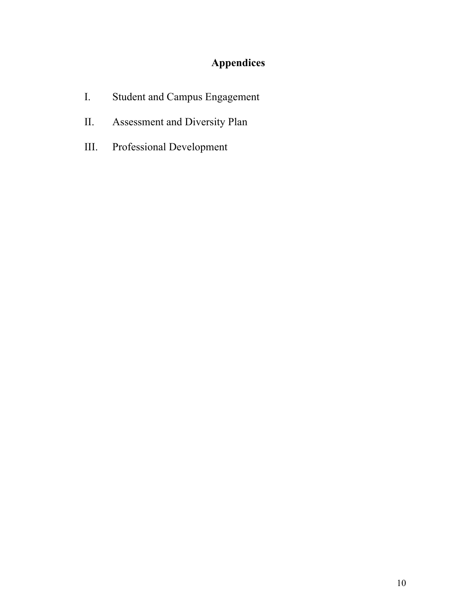# **Appendices**

- I. Student and Campus Engagement
- II. Assessment and Diversity Plan
- III. Professional Development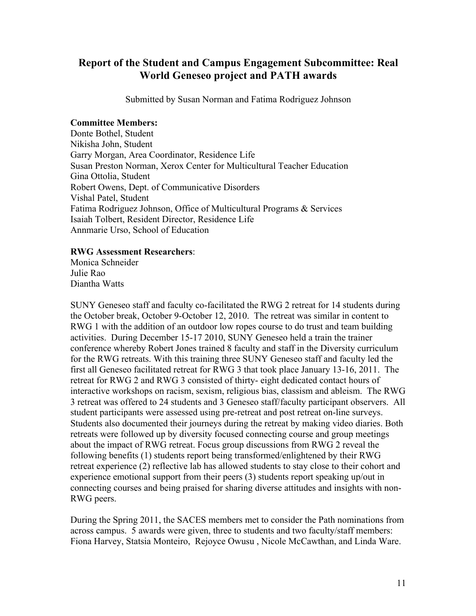# **Report of the Student and Campus Engagement Subcommittee: Real World Geneseo project and PATH awards**

Submitted by Susan Norman and Fatima Rodriguez Johnson

#### **Committee Members:**

Donte Bothel, Student Nikisha John, Student Garry Morgan, Area Coordinator, Residence Life Susan Preston Norman, Xerox Center for Multicultural Teacher Education Gina Ottolia, Student Robert Owens, Dept. of Communicative Disorders Vishal Patel, Student Fatima Rodriguez Johnson, Office of Multicultural Programs & Services Isaiah Tolbert, Resident Director, Residence Life Annmarie Urso, School of Education

#### **RWG Assessment Researchers**:

Monica Schneider Julie Rao Diantha Watts

SUNY Geneseo staff and faculty co-facilitated the RWG 2 retreat for 14 students during the October break, October 9-October 12, 2010. The retreat was similar in content to RWG 1 with the addition of an outdoor low ropes course to do trust and team building activities. During December 15-17 2010, SUNY Geneseo held a train the trainer conference whereby Robert Jones trained 8 faculty and staff in the Diversity curriculum for the RWG retreats. With this training three SUNY Geneseo staff and faculty led the first all Geneseo facilitated retreat for RWG 3 that took place January 13-16, 2011. The retreat for RWG 2 and RWG 3 consisted of thirty- eight dedicated contact hours of interactive workshops on racism, sexism, religious bias, classism and ableism. The RWG 3 retreat was offered to 24 students and 3 Geneseo staff/faculty participant observers. All student participants were assessed using pre-retreat and post retreat on-line surveys. Students also documented their journeys during the retreat by making video diaries. Both retreats were followed up by diversity focused connecting course and group meetings about the impact of RWG retreat. Focus group discussions from RWG 2 reveal the following benefits (1) students report being transformed/enlightened by their RWG retreat experience (2) reflective lab has allowed students to stay close to their cohort and experience emotional support from their peers (3) students report speaking up/out in connecting courses and being praised for sharing diverse attitudes and insights with non-RWG peers.

During the Spring 2011, the SACES members met to consider the Path nominations from across campus. 5 awards were given, three to students and two faculty/staff members: Fiona Harvey, Statsia Monteiro, Rejoyce Owusu , Nicole McCawthan, and Linda Ware.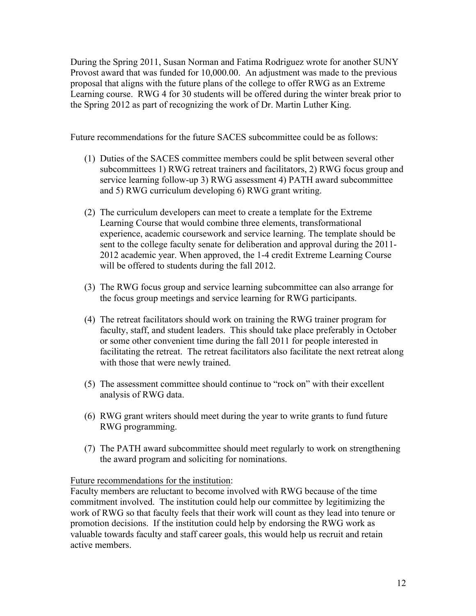During the Spring 2011, Susan Norman and Fatima Rodriguez wrote for another SUNY Provost award that was funded for 10,000.00. An adjustment was made to the previous proposal that aligns with the future plans of the college to offer RWG as an Extreme Learning course. RWG 4 for 30 students will be offered during the winter break prior to the Spring 2012 as part of recognizing the work of Dr. Martin Luther King.

Future recommendations for the future SACES subcommittee could be as follows:

- (1) Duties of the SACES committee members could be split between several other subcommittees 1) RWG retreat trainers and facilitators, 2) RWG focus group and service learning follow-up 3) RWG assessment 4) PATH award subcommittee and 5) RWG curriculum developing 6) RWG grant writing.
- (2) The curriculum developers can meet to create a template for the Extreme Learning Course that would combine three elements, transformational experience, academic coursework and service learning. The template should be sent to the college faculty senate for deliberation and approval during the 2011- 2012 academic year. When approved, the 1-4 credit Extreme Learning Course will be offered to students during the fall 2012.
- (3) The RWG focus group and service learning subcommittee can also arrange for the focus group meetings and service learning for RWG participants.
- (4) The retreat facilitators should work on training the RWG trainer program for faculty, staff, and student leaders. This should take place preferably in October or some other convenient time during the fall 2011 for people interested in facilitating the retreat. The retreat facilitators also facilitate the next retreat along with those that were newly trained.
- (5) The assessment committee should continue to "rock on" with their excellent analysis of RWG data.
- (6) RWG grant writers should meet during the year to write grants to fund future RWG programming.
- (7) The PATH award subcommittee should meet regularly to work on strengthening the award program and soliciting for nominations.

#### Future recommendations for the institution:

Faculty members are reluctant to become involved with RWG because of the time commitment involved. The institution could help our committee by legitimizing the work of RWG so that faculty feels that their work will count as they lead into tenure or promotion decisions. If the institution could help by endorsing the RWG work as valuable towards faculty and staff career goals, this would help us recruit and retain active members.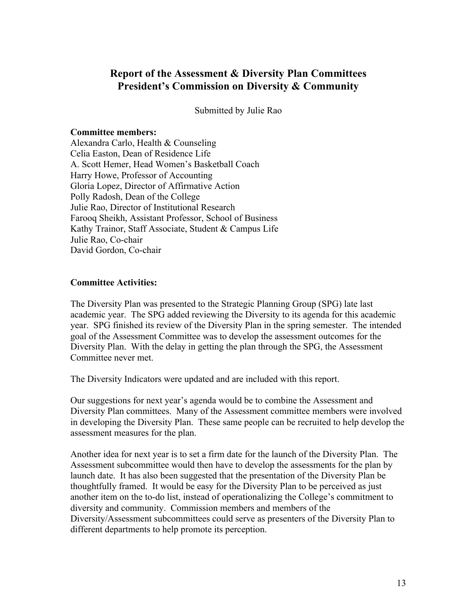# **Report of the Assessment & Diversity Plan Committees President's Commission on Diversity & Community**

Submitted by Julie Rao

#### **Committee members:**

Alexandra Carlo, Health & Counseling Celia Easton, Dean of Residence Life A. Scott Hemer, Head Women's Basketball Coach Harry Howe, Professor of Accounting Gloria Lopez, Director of Affirmative Action Polly Radosh, Dean of the College Julie Rao, Director of Institutional Research Farooq Sheikh, Assistant Professor, School of Business Kathy Trainor, Staff Associate, Student & Campus Life Julie Rao, Co-chair David Gordon, Co-chair

### **Committee Activities:**

The Diversity Plan was presented to the Strategic Planning Group (SPG) late last academic year. The SPG added reviewing the Diversity to its agenda for this academic year. SPG finished its review of the Diversity Plan in the spring semester. The intended goal of the Assessment Committee was to develop the assessment outcomes for the Diversity Plan. With the delay in getting the plan through the SPG, the Assessment Committee never met.

The Diversity Indicators were updated and are included with this report.

Our suggestions for next year's agenda would be to combine the Assessment and Diversity Plan committees. Many of the Assessment committee members were involved in developing the Diversity Plan. These same people can be recruited to help develop the assessment measures for the plan.

Another idea for next year is to set a firm date for the launch of the Diversity Plan. The Assessment subcommittee would then have to develop the assessments for the plan by launch date. It has also been suggested that the presentation of the Diversity Plan be thoughtfully framed. It would be easy for the Diversity Plan to be perceived as just another item on the to-do list, instead of operationalizing the College's commitment to diversity and community. Commission members and members of the Diversity/Assessment subcommittees could serve as presenters of the Diversity Plan to different departments to help promote its perception.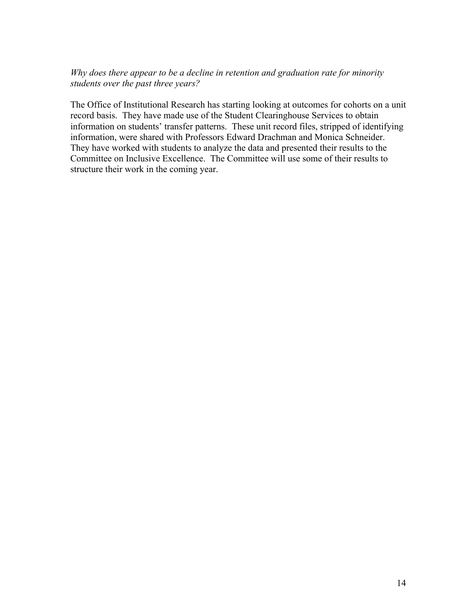# *Why does there appear to be a decline in retention and graduation rate for minority students over the past three years?*

The Office of Institutional Research has starting looking at outcomes for cohorts on a unit record basis. They have made use of the Student Clearinghouse Services to obtain information on students' transfer patterns. These unit record files, stripped of identifying information, were shared with Professors Edward Drachman and Monica Schneider. They have worked with students to analyze the data and presented their results to the Committee on Inclusive Excellence. The Committee will use some of their results to structure their work in the coming year.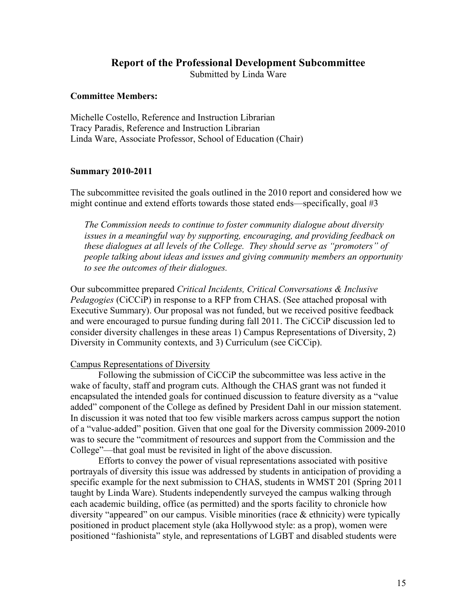#### **Report of the Professional Development Subcommittee**

Submitted by Linda Ware

#### **Committee Members:**

Michelle Costello, Reference and Instruction Librarian Tracy Paradis, Reference and Instruction Librarian Linda Ware, Associate Professor, School of Education (Chair)

#### **Summary 2010-2011**

The subcommittee revisited the goals outlined in the 2010 report and considered how we might continue and extend efforts towards those stated ends—specifically, goal #3

*The Commission needs to continue to foster community dialogue about diversity issues in a meaningful way by supporting, encouraging, and providing feedback on these dialogues at all levels of the College. They should serve as "promoters" of people talking about ideas and issues and giving community members an opportunity to see the outcomes of their dialogues.* 

Our subcommittee prepared *Critical Incidents, Critical Conversations & Inclusive Pedagogies* (CiCCiP) in response to a RFP from CHAS. (See attached proposal with Executive Summary). Our proposal was not funded, but we received positive feedback and were encouraged to pursue funding during fall 2011. The CiCCiP discussion led to consider diversity challenges in these areas 1) Campus Representations of Diversity, 2) Diversity in Community contexts, and 3) Curriculum (see CiCCip).

#### Campus Representations of Diversity

Following the submission of CiCCiP the subcommittee was less active in the wake of faculty, staff and program cuts. Although the CHAS grant was not funded it encapsulated the intended goals for continued discussion to feature diversity as a "value added" component of the College as defined by President Dahl in our mission statement. In discussion it was noted that too few visible markers across campus support the notion of a "value-added" position. Given that one goal for the Diversity commission 2009-2010 was to secure the "commitment of resources and support from the Commission and the College"—that goal must be revisited in light of the above discussion.

Efforts to convey the power of visual representations associated with positive portrayals of diversity this issue was addressed by students in anticipation of providing a specific example for the next submission to CHAS, students in WMST 201 (Spring 2011 taught by Linda Ware). Students independently surveyed the campus walking through each academic building, office (as permitted) and the sports facility to chronicle how diversity "appeared" on our campus. Visible minorities (race & ethnicity) were typically positioned in product placement style (aka Hollywood style: as a prop), women were positioned "fashionista" style, and representations of LGBT and disabled students were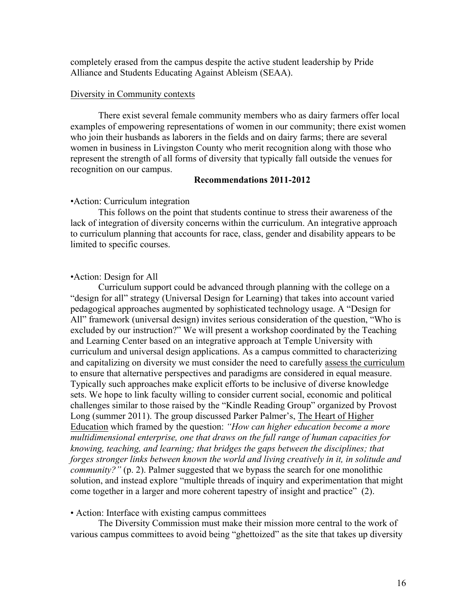completely erased from the campus despite the active student leadership by Pride Alliance and Students Educating Against Ableism (SEAA).

#### Diversity in Community contexts

There exist several female community members who as dairy farmers offer local examples of empowering representations of women in our community; there exist women who join their husbands as laborers in the fields and on dairy farms; there are several women in business in Livingston County who merit recognition along with those who represent the strength of all forms of diversity that typically fall outside the venues for recognition on our campus.

#### **Recommendations 2011-2012**

## •Action: Curriculum integration

This follows on the point that students continue to stress their awareness of the lack of integration of diversity concerns within the curriculum. An integrative approach to curriculum planning that accounts for race, class, gender and disability appears to be limited to specific courses.

#### •Action: Design for All

Curriculum support could be advanced through planning with the college on a "design for all" strategy (Universal Design for Learning) that takes into account varied pedagogical approaches augmented by sophisticated technology usage. A "Design for All" framework (universal design) invites serious consideration of the question, "Who is excluded by our instruction?" We will present a workshop coordinated by the Teaching and Learning Center based on an integrative approach at Temple University with curriculum and universal design applications. As a campus committed to characterizing and capitalizing on diversity we must consider the need to carefully assess the curriculum to ensure that alternative perspectives and paradigms are considered in equal measure. Typically such approaches make explicit efforts to be inclusive of diverse knowledge sets. We hope to link faculty willing to consider current social, economic and political challenges similar to those raised by the "Kindle Reading Group" organized by Provost Long (summer 2011). The group discussed Parker Palmer's, The Heart of Higher Education which framed by the question: *"How can higher education become a more multidimensional enterprise, one that draws on the full range of human capacities for knowing, teaching, and learning; that bridges the gaps between the disciplines; that forges stronger links between known the world and living creatively in it, in solitude and community?"* (p. 2). Palmer suggested that we bypass the search for one monolithic solution, and instead explore "multiple threads of inquiry and experimentation that might come together in a larger and more coherent tapestry of insight and practice" (2).

#### • Action: Interface with existing campus committees

The Diversity Commission must make their mission more central to the work of various campus committees to avoid being "ghettoized" as the site that takes up diversity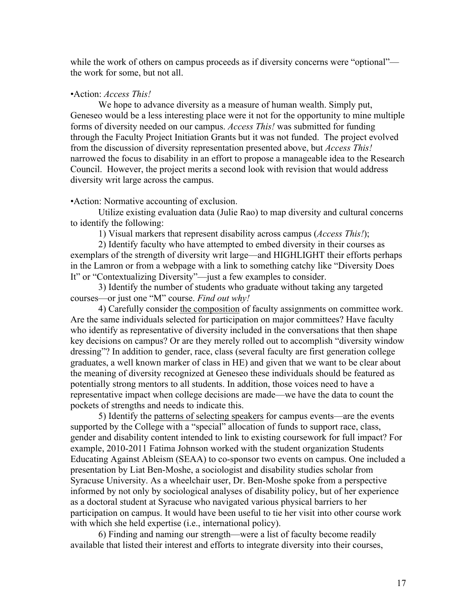while the work of others on campus proceeds as if diversity concerns were "optional" the work for some, but not all.

#### •Action: *Access This!*

We hope to advance diversity as a measure of human wealth. Simply put, Geneseo would be a less interesting place were it not for the opportunity to mine multiple forms of diversity needed on our campus. *Access This!* was submitted for funding through the Faculty Project Initiation Grants but it was not funded. The project evolved from the discussion of diversity representation presented above, but *Access This!* narrowed the focus to disability in an effort to propose a manageable idea to the Research Council. However, the project merits a second look with revision that would address diversity writ large across the campus.

•Action: Normative accounting of exclusion.

Utilize existing evaluation data (Julie Rao) to map diversity and cultural concerns to identify the following:

1) Visual markers that represent disability across campus (*Access This!*);

2) Identify faculty who have attempted to embed diversity in their courses as exemplars of the strength of diversity writ large—and HIGHLIGHT their efforts perhaps in the Lamron or from a webpage with a link to something catchy like "Diversity Does It" or "Contextualizing Diversity"—just a few examples to consider.

3) Identify the number of students who graduate without taking any targeted courses—or just one "M" course. *Find out why!*

4) Carefully consider the composition of faculty assignments on committee work. Are the same individuals selected for participation on major committees? Have faculty who identify as representative of diversity included in the conversations that then shape key decisions on campus? Or are they merely rolled out to accomplish "diversity window dressing"? In addition to gender, race, class (several faculty are first generation college graduates, a well known marker of class in HE) and given that we want to be clear about the meaning of diversity recognized at Geneseo these individuals should be featured as potentially strong mentors to all students. In addition, those voices need to have a representative impact when college decisions are made—we have the data to count the pockets of strengths and needs to indicate this.

5) Identify the patterns of selecting speakers for campus events—are the events supported by the College with a "special" allocation of funds to support race, class, gender and disability content intended to link to existing coursework for full impact? For example, 2010-2011 Fatima Johnson worked with the student organization Students Educating Against Ableism (SEAA) to co-sponsor two events on campus. One included a presentation by Liat Ben-Moshe, a sociologist and disability studies scholar from Syracuse University. As a wheelchair user, Dr. Ben-Moshe spoke from a perspective informed by not only by sociological analyses of disability policy, but of her experience as a doctoral student at Syracuse who navigated various physical barriers to her participation on campus. It would have been useful to tie her visit into other course work with which she held expertise (i.e., international policy).

6) Finding and naming our strength—were a list of faculty become readily available that listed their interest and efforts to integrate diversity into their courses,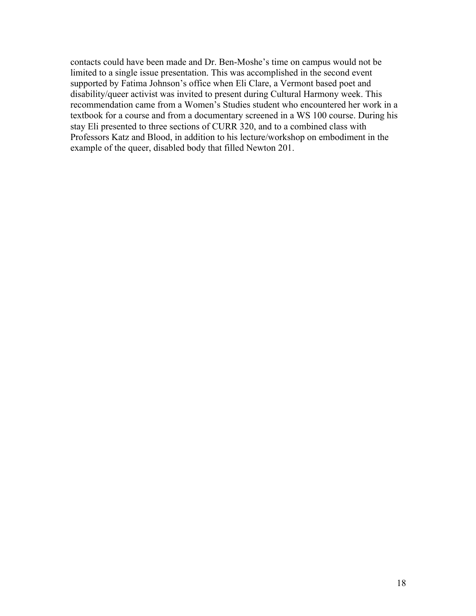contacts could have been made and Dr. Ben-Moshe's time on campus would not be limited to a single issue presentation. This was accomplished in the second event supported by Fatima Johnson's office when Eli Clare, a Vermont based poet and disability/queer activist was invited to present during Cultural Harmony week. This recommendation came from a Women's Studies student who encountered her work in a textbook for a course and from a documentary screened in a WS 100 course. During his stay Eli presented to three sections of CURR 320, and to a combined class with Professors Katz and Blood, in addition to his lecture/workshop on embodiment in the example of the queer, disabled body that filled Newton 201.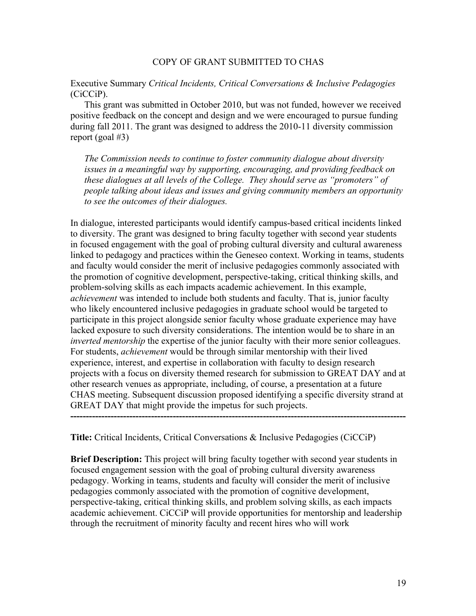#### COPY OF GRANT SUBMITTED TO CHAS

Executive Summary *Critical Incidents, Critical Conversations & Inclusive Pedagogies* (CiCCiP).

This grant was submitted in October 2010, but was not funded, however we received positive feedback on the concept and design and we were encouraged to pursue funding during fall 2011. The grant was designed to address the 2010-11 diversity commission report (goal #3)

*The Commission needs to continue to foster community dialogue about diversity issues in a meaningful way by supporting, encouraging, and providing feedback on these dialogues at all levels of the College. They should serve as "promoters" of people talking about ideas and issues and giving community members an opportunity to see the outcomes of their dialogues.* 

In dialogue, interested participants would identify campus-based critical incidents linked to diversity. The grant was designed to bring faculty together with second year students in focused engagement with the goal of probing cultural diversity and cultural awareness linked to pedagogy and practices within the Geneseo context. Working in teams, students and faculty would consider the merit of inclusive pedagogies commonly associated with the promotion of cognitive development, perspective-taking, critical thinking skills, and problem-solving skills as each impacts academic achievement. In this example, *achievement* was intended to include both students and faculty. That is, junior faculty who likely encountered inclusive pedagogies in graduate school would be targeted to participate in this project alongside senior faculty whose graduate experience may have lacked exposure to such diversity considerations. The intention would be to share in an *inverted mentorship* the expertise of the junior faculty with their more senior colleagues. For students, *achievement* would be through similar mentorship with their lived experience, interest, and expertise in collaboration with faculty to design research projects with a focus on diversity themed research for submission to GREAT DAY and at other research venues as appropriate, including, of course, a presentation at a future CHAS meeting. Subsequent discussion proposed identifying a specific diversity strand at GREAT DAY that might provide the impetus for such projects.

**Title:** Critical Incidents, Critical Conversations & Inclusive Pedagogies (CiCCiP)

**Brief Description:** This project will bring faculty together with second year students in focused engagement session with the goal of probing cultural diversity awareness pedagogy. Working in teams, students and faculty will consider the merit of inclusive pedagogies commonly associated with the promotion of cognitive development, perspective-taking, critical thinking skills, and problem solving skills, as each impacts academic achievement. CiCCiP will provide opportunities for mentorship and leadership through the recruitment of minority faculty and recent hires who will work

**------------------------------------------------------------------------------------------------------------**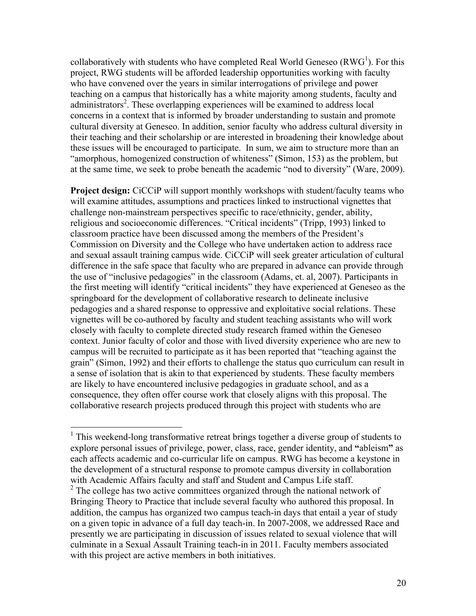collaboratively with students who have completed Real World Geneseo  $(RWG<sup>1</sup>)$ . For this project, RWG students will be afforded leadership opportunities working with faculty who have convened over the years in similar interrogations of privilege and power teaching on a campus that historically has a white majority among students, faculty and administrators<sup>2</sup>. These overlapping experiences will be examined to address local concerns in a context that is informed by broader understanding to sustain and promote cultural diversity at Geneseo. In addition, senior faculty who address cultural diversity in their teaching and their scholarship or are interested in broadening their knowledge about these issues will be encouraged to participate. In sum, we aim to structure more than an "amorphous, homogenized construction of whiteness" (Simon, 153) as the problem, but at the same time, we seek to probe beneath the academic "nod to diversity" (Ware, 2009).

**Project design:** CiCCiP will support monthly workshops with student/faculty teams who will examine attitudes, assumptions and practices linked to instructional vignettes that challenge non-mainstream perspectives specific to race/ethnicity, gender, ability, religious and socioeconomic differences. "Critical incidents" (Tripp, 1993) linked to classroom practice have been discussed among the members of the President's Commission on Diversity and the College who have undertaken action to address race and sexual assault training campus wide. CiCCiP will seek greater articulation of cultural difference in the safe space that faculty who are prepared in advance can provide through the use of "inclusive pedagogies" in the classroom (Adams, et. al, 2007). Participants in the first meeting will identify "critical incidents" they have experienced at Geneseo as the springboard for the development of collaborative research to delineate inclusive pedagogies and a shared response to oppressive and exploitative social relations. These vignettes will be co-authored by faculty and student teaching assistants who will work closely with faculty to complete directed study research framed within the Geneseo context. Junior faculty of color and those with lived diversity experience who are new to campus will be recruited to participate as it has been reported that "teaching against the grain" (Simon, 1992) and their efforts to challenge the status quo curriculum can result in a sense of isolation that is akin to that experienced by students. These faculty members are likely to have encountered inclusive pedagogies in graduate school, and as a consequence, they often offer course work that closely aligns with this proposal. The collaborative research projects produced through this project with students who are

<sup>&</sup>lt;sup>1</sup> This weekend-long transformative retreat brings together a diverse group of students to explore personal issues of privilege, power, class, race, gender identity, and **"**ableism**"** as each affects academic and co-curricular life on campus. RWG has become a keystone in the development of a structural response to promote campus diversity in collaboration with Academic Affairs faculty and staff and Student and Campus Life staff.

<sup>&</sup>lt;sup>2</sup> The college has two active committees organized through the national network of Bringing Theory to Practice that include several faculty who authored this proposal. In addition, the campus has organized two campus teach-in days that entail a year of study on a given topic in advance of a full day teach-in. In 2007-2008, we addressed Race and presently we are participating in discussion of issues related to sexual violence that will culminate in a Sexual Assault Training teach-in in 2011. Faculty members associated with this project are active members in both initiatives.